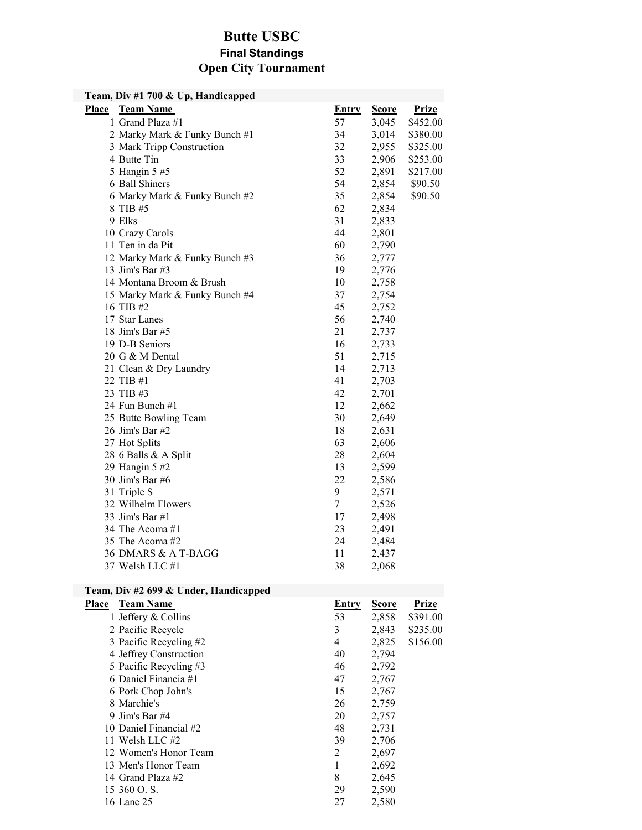# Butte USBC

# Final Standings Open City Tournament

| Team, Div #1 700 & Up, Handicapped |                                                                                                                                                                                                                                                                                                                                                                                                                                                                                                                                                                                                                                                                                                                                                                                  |                         |              |  |
|------------------------------------|----------------------------------------------------------------------------------------------------------------------------------------------------------------------------------------------------------------------------------------------------------------------------------------------------------------------------------------------------------------------------------------------------------------------------------------------------------------------------------------------------------------------------------------------------------------------------------------------------------------------------------------------------------------------------------------------------------------------------------------------------------------------------------|-------------------------|--------------|--|
| <b>Team Name</b>                   | <b>Entry</b>                                                                                                                                                                                                                                                                                                                                                                                                                                                                                                                                                                                                                                                                                                                                                                     | <b>Score</b>            | <b>Prize</b> |  |
|                                    | 57                                                                                                                                                                                                                                                                                                                                                                                                                                                                                                                                                                                                                                                                                                                                                                               | 3,045                   | \$452.00     |  |
|                                    | 34                                                                                                                                                                                                                                                                                                                                                                                                                                                                                                                                                                                                                                                                                                                                                                               | 3,014                   | \$380.00     |  |
|                                    | 32                                                                                                                                                                                                                                                                                                                                                                                                                                                                                                                                                                                                                                                                                                                                                                               | 2,955                   | \$325.00     |  |
|                                    | 33                                                                                                                                                                                                                                                                                                                                                                                                                                                                                                                                                                                                                                                                                                                                                                               | 2,906                   | \$253.00     |  |
|                                    | 52                                                                                                                                                                                                                                                                                                                                                                                                                                                                                                                                                                                                                                                                                                                                                                               | 2,891                   | \$217.00     |  |
|                                    | 54                                                                                                                                                                                                                                                                                                                                                                                                                                                                                                                                                                                                                                                                                                                                                                               | 2,854                   | \$90.50      |  |
|                                    | 35                                                                                                                                                                                                                                                                                                                                                                                                                                                                                                                                                                                                                                                                                                                                                                               | 2,854                   | \$90.50      |  |
|                                    | 62                                                                                                                                                                                                                                                                                                                                                                                                                                                                                                                                                                                                                                                                                                                                                                               | 2,834                   |              |  |
|                                    | 31                                                                                                                                                                                                                                                                                                                                                                                                                                                                                                                                                                                                                                                                                                                                                                               | 2,833                   |              |  |
|                                    | 44                                                                                                                                                                                                                                                                                                                                                                                                                                                                                                                                                                                                                                                                                                                                                                               | 2,801                   |              |  |
|                                    | 60                                                                                                                                                                                                                                                                                                                                                                                                                                                                                                                                                                                                                                                                                                                                                                               | 2,790                   |              |  |
|                                    | 36                                                                                                                                                                                                                                                                                                                                                                                                                                                                                                                                                                                                                                                                                                                                                                               | 2,777                   |              |  |
|                                    | 19                                                                                                                                                                                                                                                                                                                                                                                                                                                                                                                                                                                                                                                                                                                                                                               | 2,776                   |              |  |
|                                    | 10                                                                                                                                                                                                                                                                                                                                                                                                                                                                                                                                                                                                                                                                                                                                                                               | 2,758                   |              |  |
|                                    | 37                                                                                                                                                                                                                                                                                                                                                                                                                                                                                                                                                                                                                                                                                                                                                                               | 2,754                   |              |  |
|                                    | 45                                                                                                                                                                                                                                                                                                                                                                                                                                                                                                                                                                                                                                                                                                                                                                               | 2,752                   |              |  |
|                                    | 56                                                                                                                                                                                                                                                                                                                                                                                                                                                                                                                                                                                                                                                                                                                                                                               | 2,740                   |              |  |
|                                    | 21                                                                                                                                                                                                                                                                                                                                                                                                                                                                                                                                                                                                                                                                                                                                                                               | 2,737                   |              |  |
|                                    | 16                                                                                                                                                                                                                                                                                                                                                                                                                                                                                                                                                                                                                                                                                                                                                                               | 2,733                   |              |  |
|                                    | 51                                                                                                                                                                                                                                                                                                                                                                                                                                                                                                                                                                                                                                                                                                                                                                               | 2,715                   |              |  |
|                                    | 14                                                                                                                                                                                                                                                                                                                                                                                                                                                                                                                                                                                                                                                                                                                                                                               | 2,713                   |              |  |
|                                    | 41                                                                                                                                                                                                                                                                                                                                                                                                                                                                                                                                                                                                                                                                                                                                                                               |                         |              |  |
|                                    | 42                                                                                                                                                                                                                                                                                                                                                                                                                                                                                                                                                                                                                                                                                                                                                                               | 2,701                   |              |  |
|                                    | 12                                                                                                                                                                                                                                                                                                                                                                                                                                                                                                                                                                                                                                                                                                                                                                               | 2,662                   |              |  |
|                                    | 30                                                                                                                                                                                                                                                                                                                                                                                                                                                                                                                                                                                                                                                                                                                                                                               | 2,649                   |              |  |
|                                    | 18                                                                                                                                                                                                                                                                                                                                                                                                                                                                                                                                                                                                                                                                                                                                                                               | 2,631                   |              |  |
|                                    | 63                                                                                                                                                                                                                                                                                                                                                                                                                                                                                                                                                                                                                                                                                                                                                                               | 2,606                   |              |  |
|                                    |                                                                                                                                                                                                                                                                                                                                                                                                                                                                                                                                                                                                                                                                                                                                                                                  | 2,604                   |              |  |
|                                    | 13                                                                                                                                                                                                                                                                                                                                                                                                                                                                                                                                                                                                                                                                                                                                                                               | 2,599                   |              |  |
|                                    |                                                                                                                                                                                                                                                                                                                                                                                                                                                                                                                                                                                                                                                                                                                                                                                  | 2,586                   |              |  |
|                                    |                                                                                                                                                                                                                                                                                                                                                                                                                                                                                                                                                                                                                                                                                                                                                                                  | 2,571                   |              |  |
|                                    |                                                                                                                                                                                                                                                                                                                                                                                                                                                                                                                                                                                                                                                                                                                                                                                  | 2,526                   |              |  |
|                                    | 17                                                                                                                                                                                                                                                                                                                                                                                                                                                                                                                                                                                                                                                                                                                                                                               | 2,498                   |              |  |
|                                    | 23                                                                                                                                                                                                                                                                                                                                                                                                                                                                                                                                                                                                                                                                                                                                                                               | 2,491                   |              |  |
|                                    | 24                                                                                                                                                                                                                                                                                                                                                                                                                                                                                                                                                                                                                                                                                                                                                                               | 2,484                   |              |  |
|                                    | 11                                                                                                                                                                                                                                                                                                                                                                                                                                                                                                                                                                                                                                                                                                                                                                               | 2,437                   |              |  |
|                                    | 38                                                                                                                                                                                                                                                                                                                                                                                                                                                                                                                                                                                                                                                                                                                                                                               | 2,068                   |              |  |
|                                    | 1 Grand Plaza #1<br>2 Marky Mark & Funky Bunch #1<br>3 Mark Tripp Construction<br>4 Butte Tin<br>5 Hangin 5 #5<br>6 Ball Shiners<br>6 Marky Mark & Funky Bunch #2<br>8 TIB #5<br>9 Elks<br>10 Crazy Carols<br>11 Ten in da Pit<br>12 Marky Mark & Funky Bunch #3<br>13 Jim's Bar #3<br>14 Montana Broom & Brush<br>15 Marky Mark & Funky Bunch #4<br>16 TIB #2<br>17 Star Lanes<br>18 Jim's Bar #5<br>19 D-B Seniors<br>20 G & M Dental<br>21 Clean & Dry Laundry<br>22 TIB #1<br>23 TIB #3<br>24 Fun Bunch #1<br>25 Butte Bowling Team<br>26 Jim's Bar #2<br>27 Hot Splits<br>28 6 Balls & A Split<br>29 Hangin 5 #2<br>30 Jim's Bar #6<br>31 Triple S<br>32 Wilhelm Flowers<br>33 Jim's Bar #1<br>34 The Acoma #1<br>35 The Acoma #2<br>36 DMARS & A T-BAGG<br>37 Welsh LLC #1 | 28<br>22<br>9<br>$\tau$ | 2,703        |  |

### Team, Div #2 699 & Under, Handicapped

| <b>Team Name</b>       | Entry | <b>Score</b> | Prize    |
|------------------------|-------|--------------|----------|
| 1 Jeffery & Collins    | 53    | 2,858        | \$391.00 |
| 2 Pacific Recycle      | 3     | 2,843        | \$235.00 |
| 3 Pacific Recycling #2 | 4     | 2,825        | \$156.00 |
| 4 Jeffrey Construction | 40    | 2,794        |          |
| 5 Pacific Recycling #3 | 46    | 2,792        |          |
| 6 Daniel Financia #1   | 47    | 2,767        |          |
| 6 Pork Chop John's     | 15    | 2,767        |          |
| 8 Marchie's            | 26    | 2,759        |          |
| 9 Jim's Bar $#4$       | 20    | 2,757        |          |
| 10 Daniel Financial #2 | 48    | 2,731        |          |
| 11 Welsh LLC #2        | 39    | 2,706        |          |
| 12 Women's Honor Team  | 2     | 2,697        |          |
| 13 Men's Honor Team    | 1     | 2,692        |          |
| 14 Grand Plaza #2      | 8     | 2,645        |          |
| 15 360 O.S.            | 29    | 2,590        |          |
| 16 Lane 25             | 27    | 2,580        |          |
|                        |       |              |          |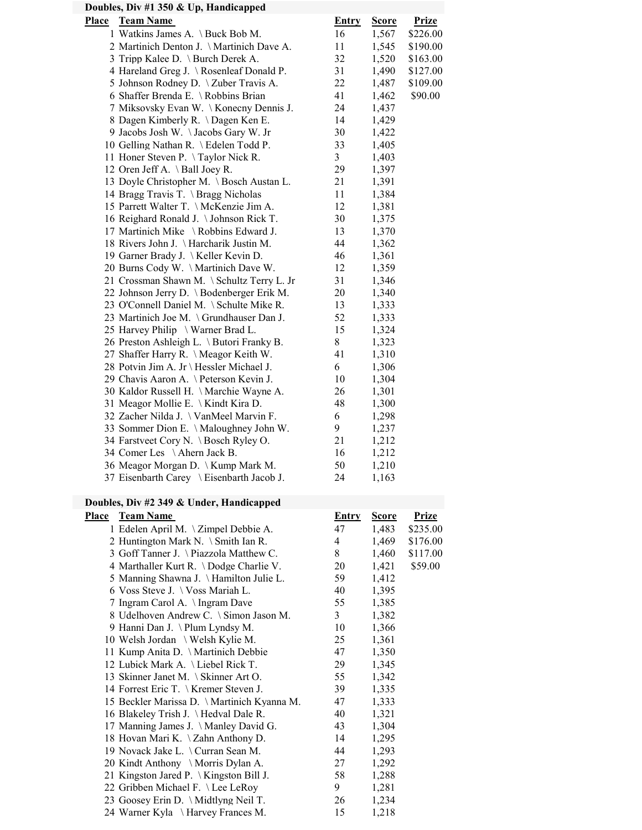| Doubles, Div #1 350 & Up, Handicapped                                                   |                |                |              |  |  |
|-----------------------------------------------------------------------------------------|----------------|----------------|--------------|--|--|
| <b>Team Name</b><br>Place                                                               | <b>Entry</b>   | <b>Score</b>   | <b>Prize</b> |  |  |
| 1 Watkins James A. \Buck Bob M.                                                         | 16             | 1,567          | \$226.00     |  |  |
| 2 Martinich Denton J. \ Martinich Dave A.                                               | 11             | 1,545          | \$190.00     |  |  |
| 3 Tripp Kalee D. \ Burch Derek A.                                                       | 32             | 1,520          | \$163.00     |  |  |
| 4 Hareland Greg J. \Rosenleaf Donald P.                                                 | 31             | 1,490          | \$127.00     |  |  |
| 5 Johnson Rodney D. \ Zuber Travis A.                                                   | 22             | 1,487          | \$109.00     |  |  |
| 6 Shaffer Brenda E. \ Robbins Brian                                                     | 41             | 1,462          | \$90.00      |  |  |
| 7 Miksovsky Evan W. \Konecny Dennis J.                                                  | 24             | 1,437          |              |  |  |
| 8 Dagen Kimberly R. \Dagen Ken E.                                                       | 14             | 1,429          |              |  |  |
| 9 Jacobs Josh W. \Jacobs Gary W. Jr                                                     | 30             | 1,422          |              |  |  |
| 10 Gelling Nathan R. \ Edelen Todd P.                                                   | 33             | 1,405          |              |  |  |
| 11 Honer Steven P. \Taylor Nick R.                                                      | $\mathfrak{Z}$ | 1,403          |              |  |  |
| 12 Oren Jeff A. $\setminus$ Ball Joey R.                                                | 29             | 1,397          |              |  |  |
| 13 Doyle Christopher M. \ Bosch Austan L.                                               | 21             | 1,391          |              |  |  |
| 14 Bragg Travis T. \ Bragg Nicholas                                                     | 11             | 1,384          |              |  |  |
| 15 Parrett Walter T. \McKenzie Jim A.                                                   | 12             | 1,381          |              |  |  |
| 16 Reighard Ronald J. \Johnson Rick T.                                                  | 30             | 1,375          |              |  |  |
| 17 Martinich Mike \ Robbins Edward J.                                                   | 13             | 1,370          |              |  |  |
| 18 Rivers John J. \Harcharik Justin M.                                                  | 44             | 1,362          |              |  |  |
| 19 Garner Brady J. \ Keller Kevin D.                                                    | 46             | 1,361          |              |  |  |
| 20 Burns Cody W. \Martinich Dave W.                                                     | 12             | 1,359          |              |  |  |
| 21 Crossman Shawn M. \ Schultz Terry L. Jr<br>22 Johnson Jerry D. \ Bodenberger Erik M. | 31<br>20       | 1,346<br>1,340 |              |  |  |
| 23 O'Connell Daniel M. \ Schulte Mike R.                                                | 13             | 1,333          |              |  |  |
| 23 Martinich Joe M. \Grundhauser Dan J.                                                 | 52             | 1,333          |              |  |  |
| 25 Harvey Philip \ Warner Brad L.                                                       | 15             | 1,324          |              |  |  |
| 26 Preston Ashleigh L. \ Butori Franky B.                                               | 8              | 1,323          |              |  |  |
| 27 Shaffer Harry R. \ Meagor Keith W.                                                   | 41             | 1,310          |              |  |  |
| 28 Potvin Jim A. Jr \ Hessler Michael J.                                                | 6              | 1,306          |              |  |  |
| 29 Chavis Aaron A. \Peterson Kevin J.                                                   | 10             | 1,304          |              |  |  |
| 30 Kaldor Russell H. \Marchie Wayne A.                                                  | 26             | 1,301          |              |  |  |
| 31 Meagor Mollie E. \ Kindt Kira D.                                                     | 48             | 1,300          |              |  |  |
| 32 Zacher Nilda J. \ VanMeel Marvin F.                                                  | 6              | 1,298          |              |  |  |
| 33 Sommer Dion E. \ Maloughney John W.                                                  | 9              | 1,237          |              |  |  |
| 34 Farstveet Cory N. \Bosch Ryley O.                                                    | 21             | 1,212          |              |  |  |
| 34 Comer Les \Ahern Jack B.                                                             | 16             | 1,212          |              |  |  |
| 36 Meagor Morgan D. \ Kump Mark M.                                                      | 50             | 1,210          |              |  |  |
| 37 Eisenbarth Carey \ Eisenbarth Jacob J.                                               | 24             | 1,163          |              |  |  |
| Doubles, Div #2 349 & Under, Handicapped                                                |                |                |              |  |  |
| Place<br><b>Team Name</b>                                                               | <b>Entry</b>   | <b>Score</b>   | <b>Prize</b> |  |  |
| 1 Edelen April M. \Zimpel Debbie A.                                                     | 47             | 1,483          | \$235.00     |  |  |
| 2 Huntington Mark N. \ Smith Ian R.                                                     | 4              | 1,469          | \$176.00     |  |  |
| 3 Goff Tanner J. \Piazzola Matthew C.                                                   | 8              | 1,460          | \$117.00     |  |  |
| 4 Marthaller Kurt R. \Dodge Charlie V.                                                  | 20             | 1,421          | \$59.00      |  |  |
| 5 Manning Shawna J. \ Hamilton Julie L.                                                 | 59             | 1,412          |              |  |  |
| 6 Voss Steve J. \ Voss Mariah L.                                                        | 40             | 1,395          |              |  |  |
| 7 Ingram Carol A. \ Ingram Dave                                                         | 55             | 1,385          |              |  |  |
| 8 Udelhoven Andrew C. \ Simon Jason M.                                                  | 3              | 1,382          |              |  |  |
| 9 Hanni Dan J. \Plum Lyndsy M.                                                          | 10             | 1,366          |              |  |  |
| 10 Welsh Jordan \ Welsh Kylie M.                                                        | 25             | 1,361          |              |  |  |
| 11 Kump Anita D. \ Martinich Debbie                                                     | 47             | 1,350          |              |  |  |
| 12 Lubick Mark A. \Liebel Rick T.                                                       | 29             | 1,345          |              |  |  |
| 13 Skinner Janet M. \ Skinner Art O.                                                    | 55             | 1,342          |              |  |  |
| 14 Forrest Eric T. \Kremer Steven J.                                                    | 39             | 1,335          |              |  |  |
| 15 Beckler Marissa D. \Martinich Kyanna M.                                              | 47             | 1,333          |              |  |  |
| 16 Blakeley Trish J. \Hedval Dale R.                                                    | 40             | 1,321          |              |  |  |
| 17 Manning James J. \ Manley David G.                                                   | 43             | 1,304          |              |  |  |
| 18 Hovan Mari K. \ Zahn Anthony D.                                                      | 14             | 1,295          |              |  |  |
| 19 Novack Jake L. \ Curran Sean M.<br>20 Kindt Anthony \ Morris Dylan A.                | 44<br>27       | 1,293<br>1,292 |              |  |  |
| 21 Kingston Jared P. \Kingston Bill J.                                                  | 58             | 1,288          |              |  |  |
| 22 Gribben Michael F. \Lee LeRoy                                                        | 9              | 1,281          |              |  |  |
| 23 Goosey Erin D. \ Midtlyng Neil T.                                                    | 26             | 1,234          |              |  |  |
| 24 Warner Kyla \ Harvey Frances M.                                                      | 15             | 1,218          |              |  |  |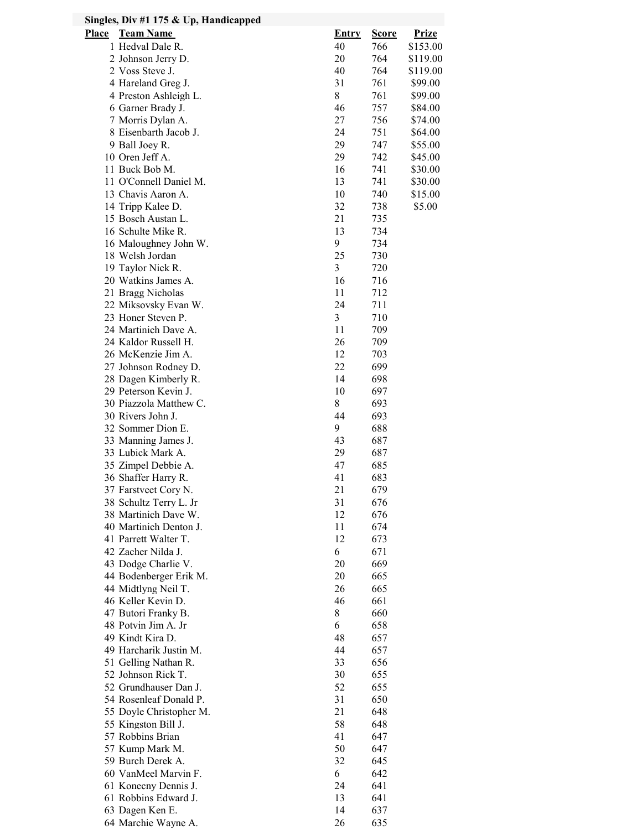| Singles, Div #1 175 $&$ Up, Handicapped    |              |              |                    |
|--------------------------------------------|--------------|--------------|--------------------|
| <b>Place</b><br><b>Team Name</b>           | <b>Entry</b> | <b>Score</b> | <b>Prize</b>       |
| 1 Hedval Dale R.                           | 40           | 766          | \$153.00           |
| 2 Johnson Jerry D.                         | 20           | 764          | \$119.00           |
| 2 Voss Steve J.                            | 40           | 764          | \$119.00           |
| 4 Hareland Greg J.                         | 31           | 761          | \$99.00            |
| 4 Preston Ashleigh L.                      | 8            | 761          | \$99.00            |
| 6 Garner Brady J.                          | 46           | 757          | \$84.00            |
| 7 Morris Dylan A.<br>8 Eisenbarth Jacob J. | 27<br>24     | 756<br>751   | \$74.00<br>\$64.00 |
| 9 Ball Joey R.                             | 29           | 747          | \$55.00            |
| 10 Oren Jeff A.                            | 29           | 742          | \$45.00            |
| 11 Buck Bob M.                             | 16           | 741          | \$30.00            |
| 11 O'Connell Daniel M.                     | 13           | 741          | \$30.00            |
| 13 Chavis Aaron A.                         | 10           | 740          | \$15.00            |
| 14 Tripp Kalee D.                          | 32           | 738          | \$5.00             |
| 15 Bosch Austan L.                         | 21           | 735          |                    |
| 16 Schulte Mike R.                         | 13           | 734          |                    |
| 16 Maloughney John W.                      | 9            | 734          |                    |
| 18 Welsh Jordan                            | 25           | 730          |                    |
| 19 Taylor Nick R.                          | 3            | 720          |                    |
| 20 Watkins James A.                        | 16           | 716<br>712   |                    |
| 21 Bragg Nicholas<br>22 Miksovsky Evan W.  | 11<br>24     | 711          |                    |
| 23 Honer Steven P.                         | 3            | 710          |                    |
| 24 Martinich Dave A.                       | 11           | 709          |                    |
| 24 Kaldor Russell H.                       | 26           | 709          |                    |
| 26 McKenzie Jim A.                         | 12           | 703          |                    |
| 27 Johnson Rodney D.                       | 22           | 699          |                    |
| 28 Dagen Kimberly R.                       | 14           | 698          |                    |
| 29 Peterson Kevin J.                       | 10           | 697          |                    |
| 30 Piazzola Matthew C.                     | 8            | 693          |                    |
| 30 Rivers John J.                          | 44           | 693          |                    |
| 32 Sommer Dion E.                          | 9            | 688          |                    |
| 33 Manning James J.<br>33 Lubick Mark A.   | 43<br>29     | 687<br>687   |                    |
| 35 Zimpel Debbie A.                        | 47           | 685          |                    |
| 36 Shaffer Harry R.                        | 41           | 683          |                    |
| 37 Farstveet Cory N.                       | $21\,$       | 679          |                    |
| 38 Schultz Terry L. Jr                     | 31           | 676          |                    |
| 38 Martinich Dave W.                       | 12           | 676          |                    |
| 40 Martinich Denton J.                     | 11           | 674          |                    |
| 41 Parrett Walter T.                       | 12           | 673          |                    |
| 42 Zacher Nilda J.                         | 6            | 671          |                    |
| 43 Dodge Charlie V.                        | 20           | 669          |                    |
| 44 Bodenberger Erik M.                     | 20           | 665          |                    |
| 44 Midtlyng Neil T.<br>46 Keller Kevin D.  | 26<br>46     | 665<br>661   |                    |
| 47 Butori Franky B.                        | 8            | 660          |                    |
| 48 Potvin Jim A. Jr                        | 6            | 658          |                    |
| 49 Kindt Kira D.                           | 48           | 657          |                    |
| 49 Harcharik Justin M.                     | 44           | 657          |                    |
| 51 Gelling Nathan R.                       | 33           | 656          |                    |
| 52 Johnson Rick T.                         | 30           | 655          |                    |
| 52 Grundhauser Dan J.                      | 52           | 655          |                    |
| 54 Rosenleaf Donald P.                     | 31           | 650          |                    |
| 55 Doyle Christopher M.                    | 21           | 648          |                    |
| 55 Kingston Bill J.                        | 58           | 648          |                    |
| 57 Robbins Brian                           | 41           | 647          |                    |
| 57 Kump Mark M.<br>59 Burch Derek A.       | 50<br>32     | 647<br>645   |                    |
| 60 VanMeel Marvin F.                       | 6            | 642          |                    |
| 61 Konecny Dennis J.                       | 24           | 641          |                    |
| 61 Robbins Edward J.                       | 13           | 641          |                    |
| 63 Dagen Ken E.                            | 14           | 637          |                    |
| 64 Marchie Wayne A.                        | 26           | 635          |                    |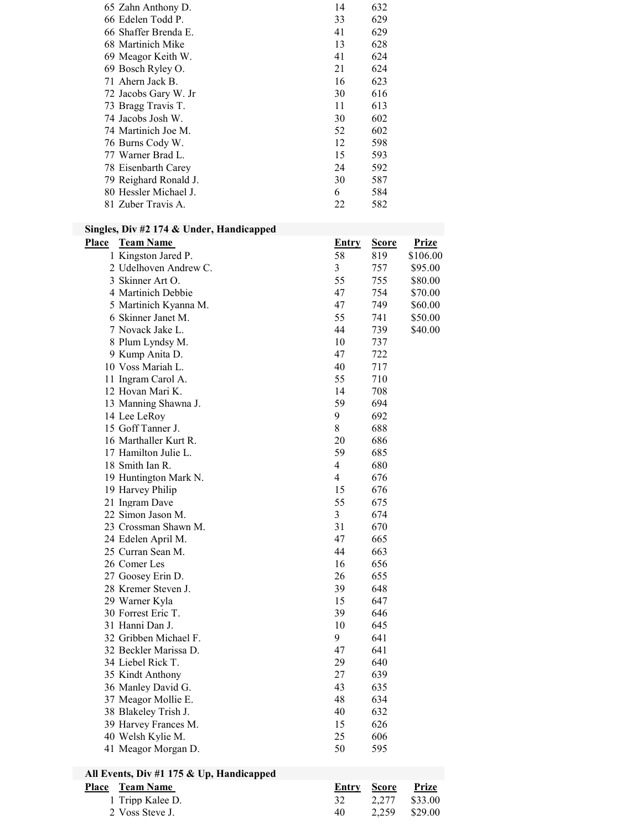| 65 Zahn Anthony D.    | 14 | 632 |
|-----------------------|----|-----|
| 66 Edelen Todd P.     | 33 | 629 |
| 66 Shaffer Brenda E.  | 41 | 629 |
| 68 Martinich Mike     | 13 | 628 |
| 69 Meagor Keith W.    | 41 | 624 |
| 69 Bosch Ryley O.     | 21 | 624 |
| 71 Ahern Jack B.      | 16 | 623 |
| 72 Jacobs Gary W. Jr  | 30 | 616 |
| 73 Bragg Travis T.    | 11 | 613 |
| 74 Jacobs Josh W.     | 30 | 602 |
| 74 Martinich Joe M.   | 52 | 602 |
| 76 Burns Cody W.      | 12 | 598 |
| 77 Warner Brad L.     | 15 | 593 |
| 78 Eisenbarth Carey   | 24 | 592 |
| 79 Reighard Ronald J. | 30 | 587 |
| 80 Hessler Michael J. | 6  | 584 |
| 81 Zuber Travis A.    | 22 | 582 |
|                       |    |     |

#### Singles, Div #2 174 & Under, Handicapped

| Place | <b>Team Name</b>                         | <b>Entry</b>   | <u>Score</u> | <b>Prize</b> |
|-------|------------------------------------------|----------------|--------------|--------------|
|       | 1 Kingston Jared P.                      | 58             | 819          | \$106.00     |
|       | 2 Udelhoven Andrew C.                    | 3              | 757          | \$95.00      |
|       | 3 Skinner Art O.                         | 55             | 755          | \$80.00      |
|       | 4 Martinich Debbie                       | 47             | 754          | \$70.00      |
|       | 5 Martinich Kyanna M.                    | 47             | 749          | \$60.00      |
|       | 6 Skinner Janet M.                       | 55             | 741          | \$50.00      |
|       | 7 Novack Jake L.                         | 44             | 739          | \$40.00      |
|       | 8 Plum Lyndsy M.                         | 10             | 737          |              |
|       | 9 Kump Anita D.                          | 47             | 722          |              |
|       | 10 Voss Mariah L.                        | 40             | 717          |              |
|       | 11 Ingram Carol A.                       | 55             | 710          |              |
|       | 12 Hovan Mari K.                         | 14             | 708          |              |
|       | 13 Manning Shawna J.                     | 59             | 694          |              |
|       | 14 Lee LeRoy                             | 9              | 692          |              |
|       | 15 Goff Tanner J.                        | $8\,$          | 688          |              |
|       | 16 Marthaller Kurt R.                    | 20             | 686          |              |
|       | 17 Hamilton Julie L.                     | 59             | 685          |              |
|       | 18 Smith Ian R.                          | $\overline{4}$ | 680          |              |
|       | 19 Huntington Mark N.                    | $\overline{4}$ | 676          |              |
|       | 19 Harvey Philip                         | 15             | 676          |              |
|       | 21 Ingram Dave                           | 55             | 675          |              |
|       | 22 Simon Jason M.                        | 3              | 674          |              |
|       | 23 Crossman Shawn M.                     | 31             |              |              |
|       |                                          | 47             | 670<br>665   |              |
|       | 24 Edelen April M.<br>25 Curran Sean M.  | 44             | 663          |              |
|       |                                          |                |              |              |
|       | 26 Comer Les                             | 16             | 656          |              |
|       | 27 Goosey Erin D.                        | 26             | 655          |              |
|       | 28 Kremer Steven J.                      | 39             | 648          |              |
|       | 29 Warner Kyla                           | 15             | 647          |              |
|       | 30 Forrest Eric T.                       | 39             | 646          |              |
|       | 31 Hanni Dan J.                          | 10             | 645          |              |
|       | 32 Gribben Michael F.                    | 9              | 641          |              |
|       | 32 Beckler Marissa D.                    | 47             | 641          |              |
|       | 34 Liebel Rick T.                        | 29             | 640          |              |
|       | 35 Kindt Anthony                         | 27             | 639          |              |
|       | 36 Manley David G.                       | 43             | 635          |              |
|       | 37 Meagor Mollie E.                      | 48             | 634          |              |
|       | 38 Blakeley Trish J.                     | 40             | 632          |              |
|       | 39 Harvey Frances M.                     | 15             | 626          |              |
|       | 40 Welsh Kylie M.                        | 25             | 606          |              |
|       | 41 Meagor Morgan D.                      | 50             | 595          |              |
|       | All Events, Div #1 175 & Up, Handicapped |                |              |              |
| Place | <b>Team Name</b>                         | <b>Entry</b>   | <b>Score</b> | <b>Prize</b> |
|       | 1 Tripp Kalee D.                         | 32             | 2,277        | \$33.00      |
|       | 2 Voss Steve J.                          | 40             | 2,259        | \$29.00      |
|       |                                          |                |              |              |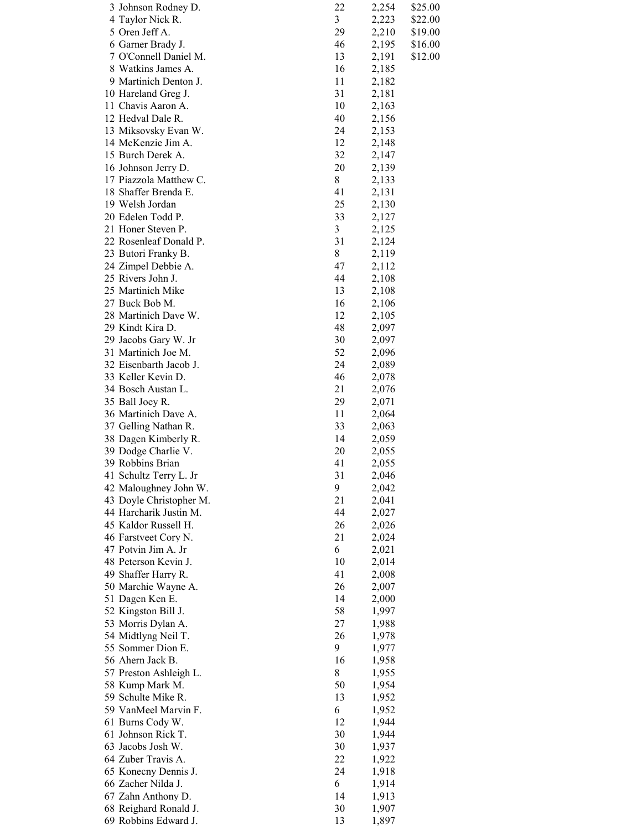| 3 Johnson Rodney D.     | 22                      | 2,254 | \$25.00 |
|-------------------------|-------------------------|-------|---------|
| 4 Taylor Nick R.        | $\overline{\mathbf{3}}$ | 2,223 | \$22.00 |
| 5 Oren Jeff A.          | 29                      | 2,210 | \$19.00 |
| 6 Garner Brady J.       | 46                      | 2,195 | \$16.00 |
| 7 O'Connell Daniel M.   | 13                      | 2,191 | \$12.00 |
| 8 Watkins James A.      | 16                      | 2,185 |         |
| 9 Martinich Denton J.   | 11                      | 2,182 |         |
| 10 Hareland Greg J.     | 31                      | 2,181 |         |
| 11 Chavis Aaron A.      | 10                      | 2,163 |         |
| 12 Hedval Dale R.       | 40                      | 2,156 |         |
| 13 Miksovsky Evan W.    | 24                      | 2,153 |         |
| 14 McKenzie Jim A.      | 12                      | 2,148 |         |
| 15 Burch Derek A.       | 32                      | 2,147 |         |
| 16 Johnson Jerry D.     | 20                      | 2,139 |         |
| 17 Piazzola Matthew C.  | 8                       | 2,133 |         |
| 18 Shaffer Brenda E.    | 41                      | 2,131 |         |
| 19 Welsh Jordan         | 25                      | 2,130 |         |
| 20 Edelen Todd P.       | 33                      | 2,127 |         |
| 21 Honer Steven P.      | 3                       | 2,125 |         |
| 22 Rosenleaf Donald P.  | 31                      | 2,124 |         |
| 23 Butori Franky B.     | $8\,$                   | 2,119 |         |
|                         |                         |       |         |
| 24 Zimpel Debbie A.     | 47                      | 2,112 |         |
| 25 Rivers John J.       | 44                      | 2,108 |         |
| 25 Martinich Mike       | 13                      | 2,108 |         |
| 27 Buck Bob M.          | 16                      | 2,106 |         |
| 28 Martinich Dave W.    | 12                      | 2,105 |         |
| 29 Kindt Kira D.        | 48                      | 2,097 |         |
| 29 Jacobs Gary W. Jr    | 30                      | 2,097 |         |
| 31 Martinich Joe M.     | 52                      | 2,096 |         |
| 32 Eisenbarth Jacob J.  | 24                      | 2,089 |         |
| 33 Keller Kevin D.      | 46                      | 2,078 |         |
| 34 Bosch Austan L.      | 21                      | 2,076 |         |
| 35 Ball Joey R.         | 29                      | 2,071 |         |
| 36 Martinich Dave A.    | 11                      | 2,064 |         |
| 37 Gelling Nathan R.    | 33                      | 2,063 |         |
| 38 Dagen Kimberly R.    | 14                      | 2,059 |         |
| 39 Dodge Charlie V.     | 20                      | 2,055 |         |
| 39 Robbins Brian        | 41                      | 2,055 |         |
| 41 Schultz Terry L. Jr  | 31                      | 2,046 |         |
| 42 Maloughney John W.   | 9                       | 2,042 |         |
| 43 Doyle Christopher M. | 21                      | 2,041 |         |
| 44 Harcharik Justin M.  | 44                      | 2,027 |         |
| 45 Kaldor Russell H.    | 26                      | 2,026 |         |
| 46 Farstveet Cory N.    | 21                      | 2,024 |         |
| 47 Potvin Jim A. Jr     | 6                       | 2,021 |         |
| 48 Peterson Kevin J.    | 10                      | 2,014 |         |
| 49 Shaffer Harry R.     | 41                      | 2,008 |         |
| 50 Marchie Wayne A.     | 26                      | 2,007 |         |
| 51 Dagen Ken E.         | 14                      | 2,000 |         |
| 52 Kingston Bill J.     | 58                      | 1,997 |         |
| 53 Morris Dylan A.      | 27                      | 1,988 |         |
| 54 Midtlyng Neil T.     | 26                      | 1,978 |         |
| 55 Sommer Dion E.       | 9                       | 1,977 |         |
| 56 Ahern Jack B.        | 16                      | 1,958 |         |
| 57 Preston Ashleigh L.  | 8                       | 1,955 |         |
| 58 Kump Mark M.         | 50                      | 1,954 |         |
| 59 Schulte Mike R.      | 13                      | 1,952 |         |
| 59 VanMeel Marvin F.    | 6                       | 1,952 |         |
| 61 Burns Cody W.        | 12                      | 1,944 |         |
| 61 Johnson Rick T.      | 30                      | 1,944 |         |
| 63 Jacobs Josh W.       | 30                      | 1,937 |         |
| 64 Zuber Travis A.      | 22                      | 1,922 |         |
| 65 Konecny Dennis J.    | 24                      | 1,918 |         |
| 66 Zacher Nilda J.      | 6                       | 1,914 |         |
| 67 Zahn Anthony D.      | 14                      |       |         |
| 68 Reighard Ronald J.   | 30                      | 1,913 |         |
| 69 Robbins Edward J.    | 13                      | 1,907 |         |
|                         |                         | 1,897 |         |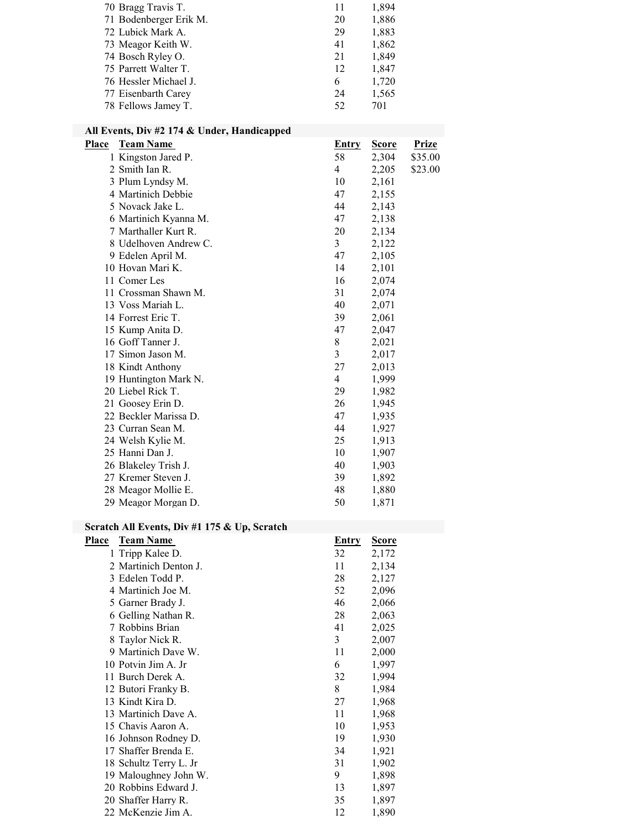| 70 Bragg Travis T.     | 11 | 1,894 |
|------------------------|----|-------|
| 71 Bodenberger Erik M. | 20 | 1,886 |
| 72 Lubick Mark A.      | 29 | 1,883 |
| 73 Meagor Keith W.     | 41 | 1,862 |
| 74 Bosch Ryley O.      | 21 | 1,849 |
| 75 Parrett Walter T.   | 12 | 1,847 |
| 76 Hessler Michael J.  | 6  | 1,720 |
| 77 Eisenbarth Carey    | 24 | 1,565 |
| 78 Fellows Jamey T.    | 52 | 701   |
|                        |    |       |

# All Events, Div #2 174 & Under, Handicapped

| Place | <b>Team Name</b>      | <u>Entry</u>   | <b>Score</b> | <b>Prize</b> |
|-------|-----------------------|----------------|--------------|--------------|
|       | 1 Kingston Jared P.   | 58             | 2,304        | \$35.00      |
|       | 2 Smith Ian R.        | $\overline{4}$ | 2,205        | \$23.00      |
|       | 3 Plum Lyndsy M.      | 10             | 2,161        |              |
|       | 4 Martinich Debbie    | 47             | 2,155        |              |
|       | 5 Novack Jake L.      | 44             | 2,143        |              |
|       | 6 Martinich Kyanna M. | 47             | 2,138        |              |
|       | 7 Marthaller Kurt R.  | 20             | 2,134        |              |
|       | 8 Udelhoven Andrew C. | 3 <sup>1</sup> | 2,122        |              |
|       | 9 Edelen April M.     | 47             | 2,105        |              |
|       | 10 Hovan Mari K.      | 14             | 2,101        |              |
|       | 11 Comer Les          | 16             | 2,074        |              |
|       | 11 Crossman Shawn M.  | 31             | 2,074        |              |
|       | 13 Voss Mariah L.     | 40             | 2,071        |              |
|       | 14 Forrest Eric T.    | 39             | 2,061        |              |
|       | 15 Kump Anita D.      | 47             | 2,047        |              |
|       | 16 Goff Tanner J.     | 8              | 2,021        |              |
|       | 17 Simon Jason M.     | 3              | 2,017        |              |
|       | 18 Kindt Anthony      | 27             | 2,013        |              |
|       | 19 Huntington Mark N. | $\overline{4}$ | 1,999        |              |
|       | 20 Liebel Rick T.     | 29             | 1,982        |              |
|       | 21 Goosey Erin D.     | 26             | 1,945        |              |
|       | 22 Beckler Marissa D. | 47             | 1,935        |              |
|       | 23 Curran Sean M.     | 44             | 1,927        |              |
|       | 24 Welsh Kylie M.     | 25             | 1,913        |              |
|       | 25 Hanni Dan J.       | 10             | 1,907        |              |
|       | 26 Blakeley Trish J.  | 40             | 1,903        |              |
|       | 27 Kremer Steven J.   | 39             | 1,892        |              |
|       | 28 Meagor Mollie E.   | 48             | 1,880        |              |
|       | 29 Meagor Morgan D.   | 50             | 1,871        |              |

# Scratch All Events, Div #1 175 & Up, Scratch

| Place | <b>Team Name</b>       | <b>Entry</b> | <u>Score</u> |
|-------|------------------------|--------------|--------------|
|       | 1 Tripp Kalee D.       | 32           | 2,172        |
|       | 2 Martinich Denton J.  | 11           | 2,134        |
|       | 3 Edelen Todd P.       | 28           | 2,127        |
|       | 4 Martinich Joe M.     | 52           | 2,096        |
|       | 5 Garner Brady J.      | 46           | 2,066        |
|       | 6 Gelling Nathan R.    | 28           | 2,063        |
|       | 7 Robbins Brian        | 41           | 2,025        |
|       | 8 Taylor Nick R.       | 3            | 2,007        |
|       | 9 Martinich Dave W.    | 11           | 2,000        |
|       | 10 Potvin Jim A. Jr    | 6            | 1,997        |
|       | 11 Burch Derek A.      | 32           | 1,994        |
|       | 12 Butori Franky B.    | 8            | 1,984        |
|       | 13 Kindt Kira D.       | 27           | 1,968        |
|       | 13 Martinich Dave A.   | 11           | 1,968        |
|       | 15 Chavis Aaron A.     | 10           | 1,953        |
|       | 16 Johnson Rodney D.   | 19           | 1,930        |
|       | 17 Shaffer Brenda E.   | 34           | 1,921        |
|       | 18 Schultz Terry L. Jr | 31           | 1,902        |
|       | 19 Maloughney John W.  | 9            | 1,898        |
|       | 20 Robbins Edward J.   | 13           | 1,897        |
|       | 20 Shaffer Harry R.    | 35           | 1,897        |
|       | 22 McKenzie Jim A.     | 12           | 1,890        |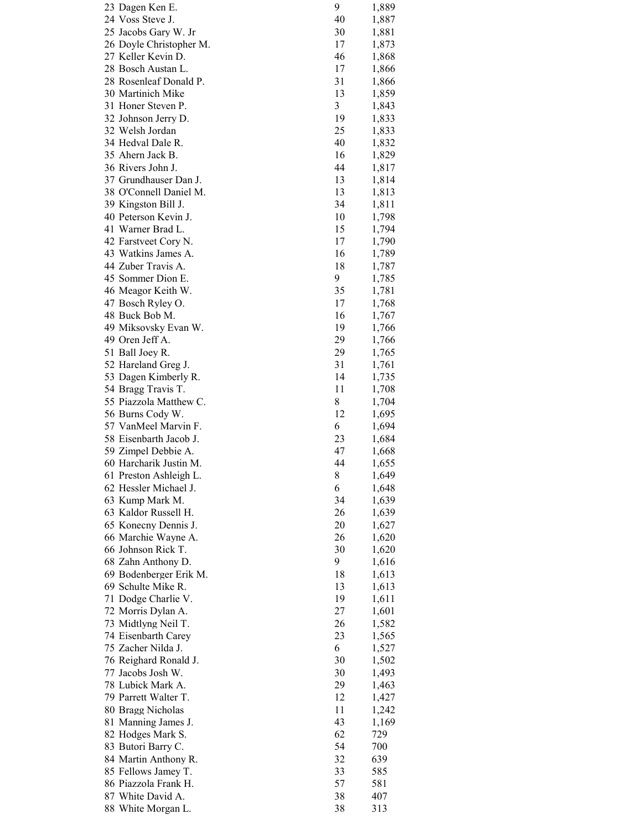| 23 Dagen Ken E.         | 9  | 1,889 |
|-------------------------|----|-------|
| 24 Voss Steve J.        | 40 | 1,887 |
| 25 Jacobs Gary W. Jr    | 30 | 1,881 |
| 26 Doyle Christopher M. | 17 | 1,873 |
| 27 Keller Kevin D.      | 46 | 1,868 |
| 28 Bosch Austan L.      | 17 | 1,866 |
| 28 Rosenleaf Donald P.  | 31 | 1,866 |
| 30 Martinich Mike       | 13 | 1,859 |
| 31 Honer Steven P.      | 3  | 1,843 |
| 32 Johnson Jerry D.     | 19 | 1,833 |
| 32 Welsh Jordan         | 25 | 1,833 |
| 34 Hedval Dale R.       | 40 | 1,832 |
| 35 Ahern Jack B.        | 16 | 1,829 |
| 36 Rivers John J.       | 44 | 1,817 |
| 37 Grundhauser Dan J.   | 13 | 1,814 |
| 38 O'Connell Daniel M.  | 13 | 1,813 |
| 39 Kingston Bill J.     | 34 | 1,811 |
| 40 Peterson Kevin J.    | 10 |       |
| 41 Warner Brad L.       | 15 | 1,798 |
|                         |    | 1,794 |
| 42 Farstveet Cory N.    | 17 | 1,790 |
| 43 Watkins James A.     | 16 | 1,789 |
| 44 Zuber Travis A.      | 18 | 1,787 |
| 45 Sommer Dion E.       | 9  | 1,785 |
| 46 Meagor Keith W.      | 35 | 1,781 |
| 47 Bosch Ryley O.       | 17 | 1,768 |
| 48 Buck Bob M.          | 16 | 1,767 |
| 49 Miksovsky Evan W.    | 19 | 1,766 |
| 49 Oren Jeff A.         | 29 | 1,766 |
| 51 Ball Joey R.         | 29 | 1,765 |
| 52 Hareland Greg J.     | 31 | 1,761 |
| 53 Dagen Kimberly R.    | 14 | 1,735 |
| 54 Bragg Travis T.      | 11 | 1,708 |
| 55 Piazzola Matthew C.  | 8  | 1,704 |
| 56 Burns Cody W.        | 12 | 1,695 |
| 57 VanMeel Marvin F.    | 6  | 1,694 |
| 58 Eisenbarth Jacob J.  | 23 | 1,684 |
| 59 Zimpel Debbie A.     | 47 | 1,668 |
| 60 Harcharik Justin M.  | 44 | 1,655 |
| 61 Preston Ashleigh L.  | 8  | 1,649 |
| 62 Hessler Michael J.   | 6  | 1,648 |
| 63 Kump Mark M.         | 34 | 1,639 |
| 63 Kaldor Russell H.    | 26 | 1,639 |
| 65 Konecny Dennis J.    | 20 | 1,627 |
| 66 Marchie Wayne A.     | 26 | 1,620 |
| 66 Johnson Rick T.      | 30 | 1,620 |
| 68 Zahn Anthony D.      | 9  | 1,616 |
| 69 Bodenberger Erik M.  | 18 | 1,613 |
| 69 Schulte Mike R.      |    |       |
|                         | 13 | 1,613 |
| 71 Dodge Charlie V.     | 19 | 1,611 |
| 72 Morris Dylan A.      | 27 | 1,601 |
| 73 Midtlyng Neil T.     | 26 | 1,582 |
| 74 Eisenbarth Carey     | 23 | 1,565 |
| 75 Zacher Nilda J.      | 6  | 1,527 |
| 76 Reighard Ronald J.   | 30 | 1,502 |
| 77 Jacobs Josh W.       | 30 | 1,493 |
| 78 Lubick Mark A.       | 29 | 1,463 |
| 79 Parrett Walter T.    | 12 | 1,427 |
| 80 Bragg Nicholas       | 11 | 1,242 |
| 81 Manning James J.     | 43 | 1,169 |
| 82 Hodges Mark S.       | 62 | 729   |
| 83 Butori Barry C.      | 54 | 700   |
| 84 Martin Anthony R.    | 32 | 639   |
| 85 Fellows Jamey T.     | 33 | 585   |
| 86 Piazzola Frank H.    | 57 | 581   |
| 87 White David A.       | 38 | 407   |
| 88 White Morgan L.      | 38 | 313   |